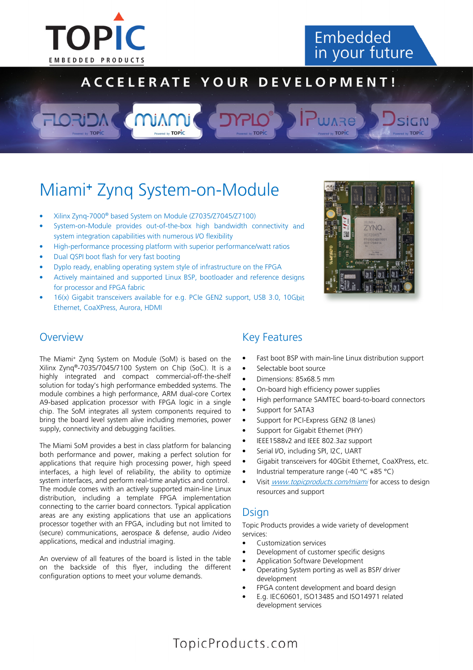

## Embedded in your future

## ACCELERATE YOUR DEVELOPMENT!

# Miami<sup>+</sup> Zynq System-on-Module

- Xilinx Zynq-7000® based System on Module (Z7035/Z7045/Z7100)
- System-on-Module provides out-of-the-box high bandwidth connectivity and system integration capabilities with numerous I/O flexibility
- High-performance processing platform with superior performance/watt ratios
- Dual QSPI boot flash for very fast booting
- Dyplo ready, enabling operating system style of infrastructure on the FPGA
- Actively maintained and supported Linux BSP, bootloader and reference designs for processor and FPGA fabric
- 16(x) Gigabit transceivers available for e.g. PCIe GEN2 support, USB 3.0, 10Gbit Ethernet, CoaXPress, Aurora, HDMI



#### **Overview**

The Miami<sup>+</sup> Zynq System on Module (SoM) is based on the Xilinx Zynq®-7035/7045/7100 System on Chip (SoC). It is a highly integrated and compact commercial-off-the-shelf solution for today's high performance embedded systems. The module combines a high performance, ARM dual-core Cortex A9-based application processor with FPGA logic in a single chip. The SoM integrates all system components required to bring the board level system alive including memories, power supply, connectivity and debugging facilities.

The Miami SoM provides a best in class platform for balancing both performance and power, making a perfect solution for applications that require high processing power, high speed interfaces, a high level of reliability, the ability to optimize system interfaces, and perform real-time analytics and control. The module comes with an actively supported main-line Linux distribution, including a template FPGA implementation connecting to the carrier board connectors. Typical application areas are any existing applications that use an applications processor together with an FPGA, including but not limited to (secure) communications, aerospace & defense, audio /video applications, medical and industrial imaging.

An overview of all features of the board is listed in the table on the backside of this flyer, including the different configuration options to meet your volume demands.

#### Key Features

- Fast boot BSP with main-line Linux distribution support
- Selectable boot source
- Dimensions: 85x68.5 mm
- On-board high efficiency power supplies
- High performance SAMTEC board-to-board connectors
- Support for SATA3
- Support for PCI-Express GEN2 (8 lanes)
- Support for Gigabit Ethernet (PHY)
- IEEE1588v2 and IEEE 802.3az support
- Serial I/O, including SPI, I2C, UART
- Gigabit transceivers for 40Gbit Ethernet, CoaXPress, etc.
- Industrial temperature range (-40 °C +85 °C)
- Visit *www.topicproducts.com/miami* for access to design resources and support

#### **Dsign**

Topic Products provides a wide variety of development services:

- Customization services
- Development of customer specific designs
- Application Software Development
- Operating System porting as well as BSP/ driver development
- FPGA content development and board design
- E.g. IEC60601, ISO13485 and ISO14971 related development services